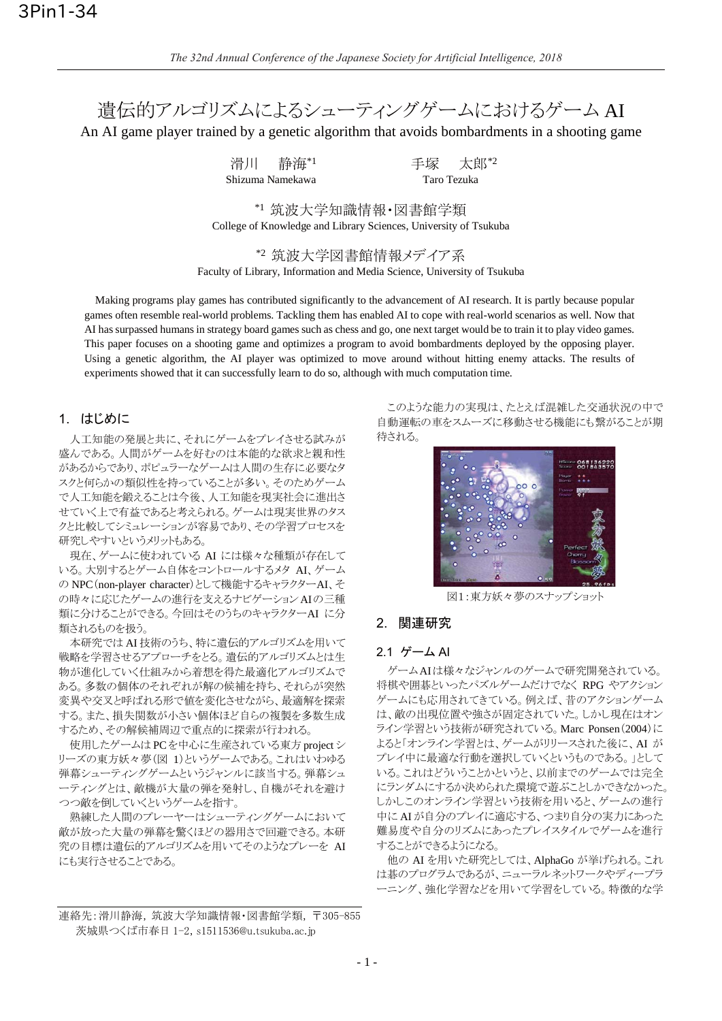潰伝的アルゴリズムによるシューティングゲームにおけるゲーム AI

An AI game player trained by a genetic algorithm that avoids bombardments in a shooting game

滑川 静海\*1 手塚 太郎\*2 Shizuma Namekawa Taro Tezuka

\*1 筑波大学知識情報·図書館学類 College of Knowledge and Library Sciences, University of Tsukuba

\*2 筑波大学図書館情報メデイア系 Faculty of Library, Information and Media Science, University of Tsukuba

Making programs play games has contributed significantly to the advancement of AI research. It is partly because popular games often resemble real-world problems. Tackling them has enabled AI to cope with real-world scenarios as well. Now that AI has surpassed humans in strategy board games such as chess and go, one next target would be to train it to play video games. This paper focuses on a shooting game and optimizes a program to avoid bombardments deployed by the opposing player. Using a genetic algorithm, the AI player was optimized to move around without hitting enemy attacks. The results of experiments showed that it can successfully learn to do so, although with much computation time.

# 1. はじめに

人工知能の発展と共に、それにゲームをプレイさせる試みが 盛んである。人間がゲームを好むのは本能的な欲求と親和性 があるからであり、ポピュラーなゲームは人間の生存に必要なタ スクと何らかの類似性を持っていることが多い。そのためゲーム で人工知能を鍛えることは今後、人工知能を現実社会に進出さ せていく上で有益であると考えられる。ゲームは現実世界のタス クと比較してシミュレーションが容易であり、その学習プロセスを 研究しやすいというメリットもある。

現在、ゲームに使われている AI には様々な種類が存在して いる。大別するとゲーム自体をコントロールするメタ AI、ゲーム の NPC (non-player character) として機能するキャラクターAI、そ の時々に応じたゲームの進行を支えるナビゲーションAIの三種 類に分けることができる。今回はそのうちのキャラクターAI に分 類されるものを扱う。

本研究ではAI 技術のうち、特に遺伝的アルゴリズムを用いて 戦略を学習させるアプローチをとる。遺伝的アルゴリズムとは生 物が進化していく仕組みから着想を得た最適化アルゴリズムで ある。多数の個体のそれぞれが解の候補を持ち、それらが突然 変異や交叉と呼ばれる形で値を変化させながら、最適解を探索 する。また、損失関数が小さい個体ほど自らの複製を多数生成 するため、その解候補周辺で重点的に探索が行われる。

使用したゲームはPCを中心に生産されている東方 project シ リーズの東方妖々夢(図 1)というゲームである。これはいわゆる 弾幕シューティングゲームというジャンルに該当する。弾幕シュ 一ティングとは、敵機が大量の弾を発射し、自機がそれを避け つつ敵を倒していくというゲームを指す。

熟練した人間のプレーヤーはシューティングゲームにおいて 敵が放った大量の弾幕を驚くほどの器用さで回避できる。本研 究の目標は遺伝的アルゴリズムを用いてそのようなプレーを AI にも実行させることである。

このような能力の実現は、たとえば混雑した交通状況の中で 自動運転の車をスムーズに移動させる機能にも繋がることが期 待される。



図1:東方妖々夢のスナップショット

## 2. 関連研究

#### 2.1 ゲーム Al

ゲームAIは様々なジャンルのゲームで研究開発されている。 将棋や囲基といったパズルゲームだけでなく RPG やアクション ゲームにも応用されてきている。例えば、昔のアクションゲーム は、敵の出現位置や強さが固定されていた。しかし現在はオン ライン学習という技術が研究されている。Marc Ponsen (2004)に よると「オンライン学習とは、ゲームがリリースされた後に、AI が プレイ中に最適な行動を選択していくというものである。」として いる。これはどういうことかというと、以前までのゲームでは完全 にランダムにするか決められた環境で遊ぶことしかできなかった。 しかしこのオンライン学習という技術を用いると、ゲームの進行 中にAIが自分のプレイに適応する、つまり自分の実力にあった 難易度や自分のリズムにあったプレイスタイルでゲームを進行 することができるようになる。

他の AI を用いた研究としては、AlphaGo が挙げられる。これ は碁のプログラムであるが、ニューラルネットワークやディープラ ーニング、強化学習などを用いて学習をしている。特徴的な学

連絡先: 滑川静海, 筑波大学知識情報·図書館学類, 〒305-855 茨城県つくば市春日 1-2, s1511536@u.tsukuba.ac.jp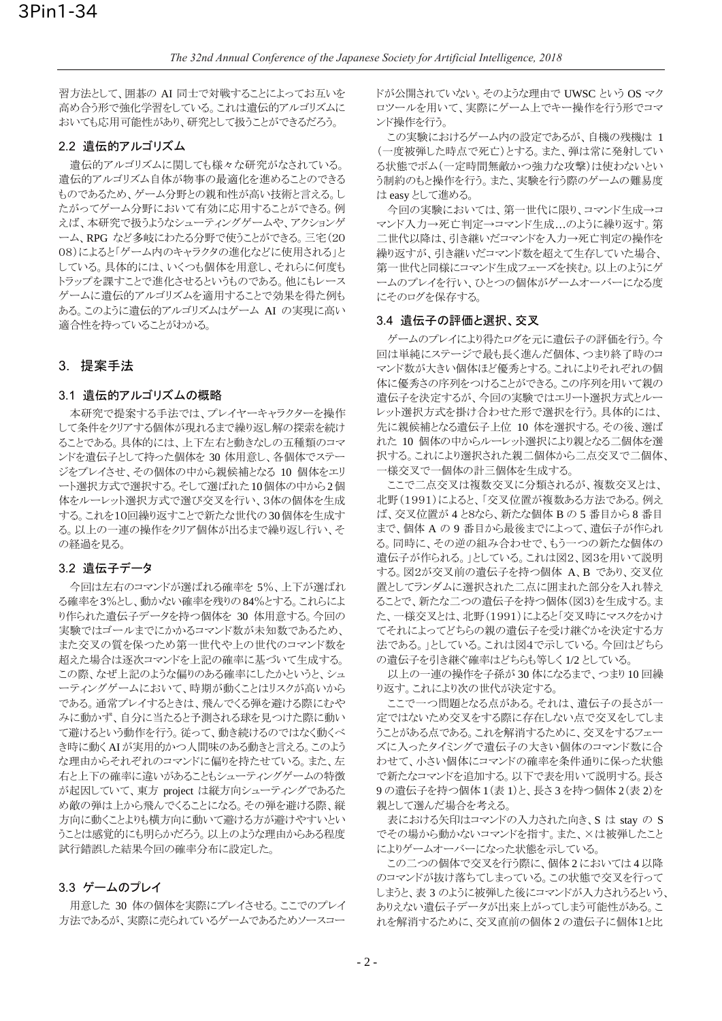習方法として、囲碁の AI 同士で対戦することによってお互いを 高め合う形で強化学習をしている。これは遺伝的アルゴリズムに おいても応用可能性があり、研究として扱うことができるだろう。

## 2.2 遺伝的アルゴリズム

遺伝的アルゴリズムに関しても様々な研究がなされている。 遺伝的アルゴリズム自体が物事の最適化を進めることのできる ものであるため、ゲーム分野との親和性が高い技術と言える。し たがってゲーム分野において有効に応用することができる。例 えば、本研究で扱うようなシューティングゲームや、アクションゲ ーム、RPG など多岐にわたる分野で使うことができる。三宅(20 08)によると「ゲーム内のキャラクタの進化などに使用される」と している。具体的には、いくつも個体を用意し、それらに何度も トラップを課すことで進化させるというものである。他にもレース ゲームに遺伝的アルゴリズムを適用することで効果を得た例も ある。このように遺伝的アルゴリズムはゲーム AI の実現に高い 適合性を持っていることがわかる。

# 3. 提案手法

#### 3.1 遺伝的アルゴリズムの概略

本研究で提案する手法では、プレイヤーキャラクターを操作 して条件をクリアする個体が現れるまで繰り返し解の探索を続け ることである。具体的には、上下左右と動きなしの五種類のコマ ンドを遺伝子として持った個体を 30 体用意し、各個体でステー ジをプレイさせ、その個体の中から親候補となる 10 個体をエリ ート選択方式で選択する。そして選ばれた10個体の中から2個 体をルーレット選択方式で選び交叉を行い、3体の個体を生成 する。これを10回繰り返すことで新たな世代の30個体を生成す る。以上の一連の操作をクリア個体が出るまで繰り返し行い、そ の経過を見る。

#### 3.2 遺伝子データ

今回は左右のコマンドが選ばれる確率を5%、上下が選ばれ る確率を3%とし、動かない確率を残りの84%とする。これらによ り作られた遺伝子データを持つ個体を 30 体用意する。今回の 実験ではゴールまでにかかるコマンド数が未知数であるため、 また交叉の質を保つため第一世代や上の世代のコマンド数を 超えた場合は逐次コマンドを上記の確率に基づいて生成する。 この際、なぜ上記のような偏りのある確率にしたかというと、シュ 一ティングゲームにおいて、時期が動くことはリスクが高いから である。通常プレイするときは、飛んでくる弾を避ける際にむや みに動かず、自分に当たると予測される球を見つけた際に動い て避けるという動作を行う。従って、動き続けるのではなく動くべ き時に動くAIが実用的かつ人間味のある動きと言える。このよう な理由からそれぞれのコマンドに偏りを持たせている。また、左 右と上下の確率に違いがあることもシューティングゲームの特徴 が起因していて、東方 project は縦方向シューティングであるた め敵の弾は上から飛んでくることになる。その弾を避ける際、縦 方向に動くことよりも横方向に動いて避ける方が避けやすいとい うことは感覚的にも明らかだろう。以上のような理由からある程度 試行錯誤した結果今回の確率分布に設定した。

## 3.3 ゲームのプレイ

用意した 30 体の個体を実際にプレイさせる。ここでのプレイ 方法であるが、実際に売られているゲームであるためソースコー

ドが公開されていない。そのような理由で UWSC という OS マク ロツールを用いて、実際にゲーム上でキー操作を行う形でコマ ンド操作を行う。

この実験におけるゲーム内の設定であるが、自機の残機は 1 (一度被弾した時点で死亡)とする。また、弾は常に発射してい る状態でボム(一定時間無敵かつ強力な攻撃)は使わないとい う制約のもと操作を行う。また、実験を行う際のゲームの難易度 は easy として進める。

今回の実験においては、第一世代に限り、コマンド生成→コ マンド入力→死亡判定→コマンド生成…のように繰り返す。第 二世代以降は、引き継いだコマンドを入力→死亡判定の操作を 繰り返すが、引き継いだコマンド数を超えて生存していた場合、 第一世代と同様にコマンド生成フェーズを挟む。以上のようにゲ ームのプレイを行い、ひとつの個体がゲームオーバーになる度 にそのログを保存する。

#### 3.4 遺伝子の評価と選択、交叉

ゲームのプレイにより得たログを元に遺伝子の評価を行う。今 回は単純にステージで最も長く進んだ個体、つまり終了時のコ マンド数が大きい個体ほど優秀とする。これによりそれぞれの個 体に優秀さの序列をつけることができる。この序列を用いて親の 遺伝子を決定するが、今回の実験ではエリート選択方式とルー レット選択方式を掛け合わせた形で選択を行う。具体的には、 先に親候補となる遺伝子上位 10 体を選択する。その後、選ば れた 10 個体の中からルーレット選択により親となる二個体を選 択する。これにより選択された親二個体から二点交叉で二個体、 一様交叉で一個体の計三個体を生成する。

ここで二点交叉は複数交叉に分類されるが、複数交叉とは、 北野(1991)によると、「交叉位置が複数ある方法である。例え ば、交叉位置が4と8なら、新たな個体Bの5番目から8番目 まで、個体 A の 9 番目から最後までによって、遺伝子が作られ る。同時に、その逆の組み合わせで、もう一つの新たな個体の 遺伝子が作られる。」としている。これは図2、図3を用いて説明 する。図2が交叉前の遺伝子を持つ個体 A、B であり、交叉位 置としてランダムに選択された二点に囲まれた部分を入れ替え ることで、新たな二つの遺伝子を持つ個体(図3)を生成する。ま た、一様交叉とは、北野(1991)によると「交叉時にマスクをかけ てそれによってどちらの親の遺伝子を受け継ぐかを決定する方 法である。しとしている。これは図4で示している。今回はどちら の遺伝子を引き継ぐ確率はどちらも等しく 1/2 としている。

以上の一連の操作を子孫が30体になるまで、つまり10回繰 り返す。これにより次の世代が決定する。

ここで一つ問題となる点がある。それは、遺伝子の長さが一 定ではないため交叉をする際に存在しない点で交叉をしてしま うことがある点である。これを解消するために、交叉をするフェー ズに入ったタイミングで遺伝子の大きい個体のコマンド数に合 わせて、小さい個体にコマンドの確率を条件通りに保った状態 で新たなコマンドを追加する。以下で表を用いて説明する。長さ 9の遺伝子を持つ個体1(表1)と、長さ3を持つ個体2(表2)を 親として選んだ場合を考える。

表における矢印はコマンドの入力された向き、S は stay の S でその場から動かないコマンドを指す。また、×は被弾したこと によりゲームオーバーになった状態を示している。

この二つの個体で交叉を行う際に、個体2においては4以降 のコマンドが抜け落ちてしまっている。この状態で交叉を行って しまうと、表 3 のように被弾した後にコマンドが入力されうるという、 ありえない遺伝子データが出来上がってしまう可能性がある。こ れを解消するために、交叉直前の個体2の遺伝子に個体1と比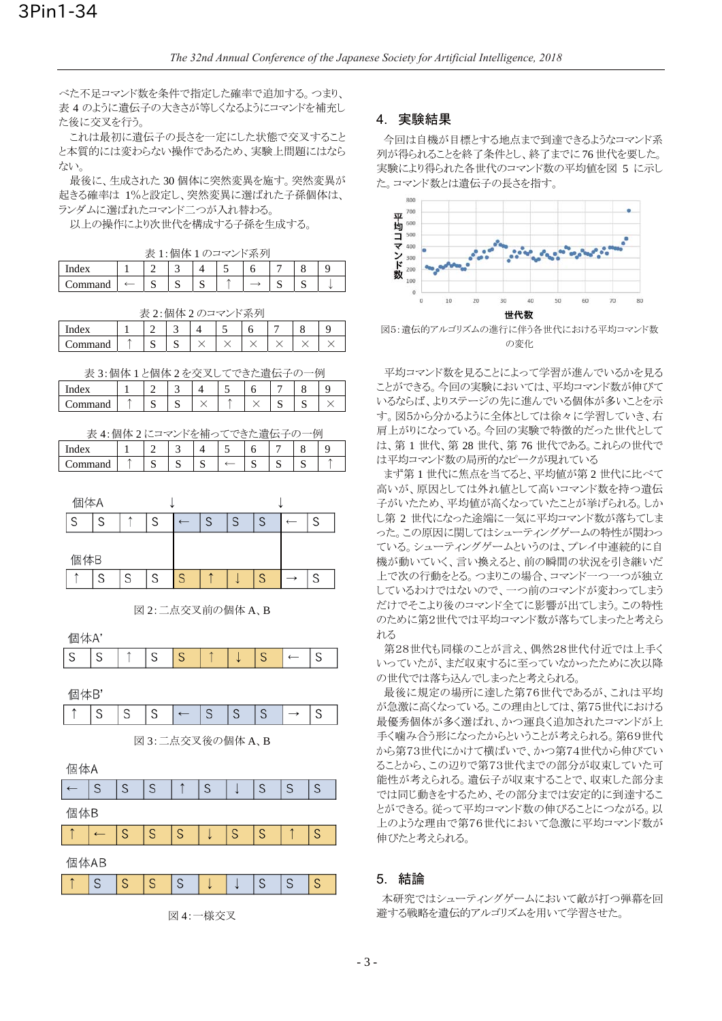べた不足コマンド数を条件で指定した確率で追加する。つまり、 表 4 のように遺伝子の大きさが等しくなるようにコマンドを補充し た後に交叉を行う。

これは最初に遺伝子の長さを一定にした状態で交叉すること と本質的には変わらない操作であるため、実験上問題にはなら ない。

最後に、生成された30個体に突然変異を施す。突然変異が 起きる確率は 1%と設定し、突然変異に選ばれた子孫個体は、 ランダムに選ばれたコマンド二つが入れ替わる。

以上の操作により次世代を構成する子孫を生成する。

|         |   |  | .:個体1のコマンド系列 |  |  |
|---------|---|--|--------------|--|--|
| ndex    |   |  |              |  |  |
| Command | ى |  |              |  |  |

表 2:個体 2 のコマンド系列

| Index        |   |   |  |  |  |
|--------------|---|---|--|--|--|
| ⌒<br>`ommand | ∼ | ∼ |  |  |  |

|  | 表 3:個体1と個体2を交叉してできた遺伝子の一例 |  |
|--|---------------------------|--|
|  |                           |  |

| $\sim$<br>поез<br>৴৴৲ |   | ــ |  |   | ◡ |  |
|-----------------------|---|----|--|---|---|--|
| mmand<br>anu          | ັ | ມ  |  | ັ | ັ |  |

| 4:個体2にコマンドを補ってできた潰伝- |  |  |  |  |  |   |  |  |  |  |
|----------------------|--|--|--|--|--|---|--|--|--|--|
| Index                |  |  |  |  |  |   |  |  |  |  |
| 'ommand              |  |  |  |  |  | ມ |  |  |  |  |



図 2: 二点交叉前の個体 A、B

個体A'

| $\cdots$ |   |   |   |                 |   |   |   |   |   |
|----------|---|---|---|-----------------|---|---|---|---|---|
| S        | S | ↑ | S | S               |   |   | S |   | S |
|          |   |   |   |                 |   |   |   |   |   |
| 個体B'     |   |   |   |                 |   |   |   |   |   |
|          | S | S | S |                 | S | S | S |   | S |
|          |   |   |   | 図3:二点交叉後の個体 A、B |   |   |   |   |   |
|          |   |   |   |                 |   |   |   |   |   |
| 個体A      |   |   |   |                 |   |   |   |   |   |
|          | S | S | S |                 | S |   | S | S | S |
| 個体B      |   |   |   |                 |   |   |   |   |   |
|          |   | S | S | S               |   | S | S |   | S |
|          |   |   |   |                 |   |   |   |   |   |

|--|--|--|--|--|--|--|--|--|--|--|

図 4: 一様交叉

# 4.実験結果

今回は自機が目標とする地点まで到達できるようなコマンド系 列が得られることを終了条件とし、終了までに76世代を要した。 実験により得られた各世代のコマンド数の平均値を図 5 に示し た。コマンド数とは遺伝子の長さを指す。



図5:遺伝的アルゴリズムの進行に伴う各世代における平均コマンド数 の変化

平均コマンド数を見ることによって学習が進んでいるかを見る ことができる。今回の実験においては、平均コマンド数が伸びて いるならば、よりステージの先に進んでいる個体が多いことを示 す。図5から分かるように全体としては徐々に学習していき、右 肩上がりになっている。今回の実験で特徴的だった世代として は、第 1世代、第 28世代、第 76世代である。これらの世代で は平均コマンド数の局所的なピークが現れている

まず第1世代に焦点を当てると、平均値が第2世代に比べて 高いが、原因としては外れ値として高いコマンド数を持つ遺伝 子がいたため、平均値が高くなっていたことが挙げられる。しか し第2世代になった途端に一気に平均コマンド数が落ちてしま った。この原因に関してはシューティングゲームの特性が関わっ ている。シューティングゲームというのは、プレイ中連続的に自 機が動いていく、言い換えると、前の瞬間の状況を引き継いだ 上で次の行動をとる。つまりこの場合、コマンド一つ一つが独立 しているわけではないので、一つ前のコマンドが変わってしまう だけでそこより後のコマンド全てに影響が出てしまう。この特性 のために第2世代では平均コマンド数が落ちてしまったと考えら れる

第28世代も同様のことが言え、偶然28世代付近では上手く いっていたが、まだ収束するに至っていなかったために次以降 の世代では落ち込んでしまったと考えられる。

最後に規定の場所に達した第76世代であるが、これは平均 が急激に高くなっている。この理由としては、第75世代における 最優秀個体が多く選ばれ、かつ運良く追加されたコマンドが上 手く噛み合う形になったからということが考えられる。第69世代 から第73世代にかけて横ばいで、かつ第74世代から伸びてい ることから、この辺りで第73世代までの部分が収束していた可 能性が考えられる。遺伝子が収束することで、収束した部分ま では同じ動きをするため、その部分までは安定的に到達するこ とができる。従って平均コマンド数の伸びることにつながる。以 上のような理由で第76世代において急激に平均コマンド数が 伸びたと考えられる。

# 5. 結論

本研究ではシューティングゲームにおいて敵が打つ弾幕を回 避する戦略を遺伝的アルゴリズムを用いて学習させた。